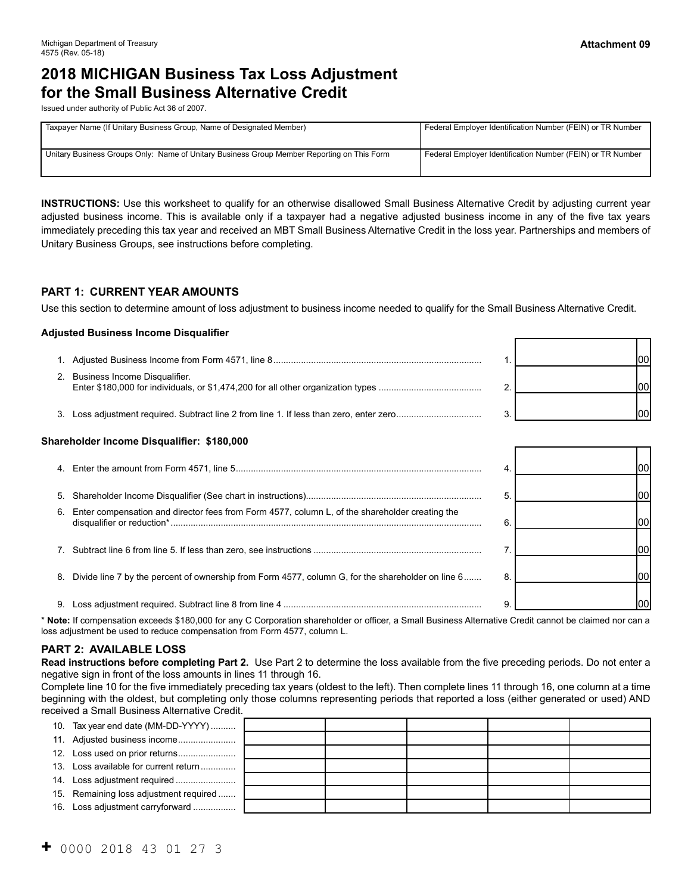┯ ᆨ

# **2018 MICHIGAN Business Tax Loss Adjustment for the Small Business Alternative Credit**

Issued under authority of Public Act 36 of 2007.

| Taxpayer Name (If Unitary Business Group, Name of Designated Member)                       | Federal Employer Identification Number (FEIN) or TR Number |
|--------------------------------------------------------------------------------------------|------------------------------------------------------------|
| Unitary Business Groups Only: Name of Unitary Business Group Member Reporting on This Form | Federal Employer Identification Number (FEIN) or TR Number |

**INSTRUCTIONS:** Use this worksheet to qualify for an otherwise disallowed Small Business Alternative Credit by adjusting current year adjusted business income. This is available only if a taxpayer had a negative adjusted business income in any of the five tax years immediately preceding this tax year and received an MBT Small Business Alternative Credit in the loss year. Partnerships and members of Unitary Business Groups, see instructions before completing.

#### **PART 1: CURRENT YEAR AMOUNTS**

Use this section to determine amount of loss adjustment to business income needed to qualify for the Small Business Alternative Credit.

#### **Adjusted Business Income Disqualifier**

| Business Income Disqualifier. |  |  |
|-------------------------------|--|--|
|                               |  |  |

#### **Shareholder Income Disqualifier: \$180,000**

| 5. |                                                                                                   |   |  |
|----|---------------------------------------------------------------------------------------------------|---|--|
| 6. | Enter compensation and director fees from Form 4577, column L, of the shareholder creating the    |   |  |
| 7. |                                                                                                   |   |  |
| 8. | Divide line 7 by the percent of ownership from Form 4577, column G, for the shareholder on line 6 | 8 |  |
|    | Loss adjustment required. Subtract line 8 from line 4 ……………………………………………………………………                  |   |  |

\* **Note:** If compensation exceeds \$180,000 for any C Corporation shareholder or officer, a Small Business Alternative Credit cannot be claimed nor can a loss adjustment be used to reduce compensation from Form 4577, column L.

#### **PART 2: AVAILABLE LOSS**

 **Read instructions before completing Part 2.** Use Part 2 to determine the loss available from the five preceding periods. Do not enter a negative sign in front of the loss amounts in lines 11 through 16.

Complete line 10 for the five immediately preceding tax years (oldest to the left). Then complete lines 11 through 16, one column at a time beginning with the oldest, but completing only those columns representing periods that reported a loss (either generated or used) AND received a Small Business Alternative Credit.

| 10. Tax year end date (MM-DD-YYYY)     |  |  |  |
|----------------------------------------|--|--|--|
|                                        |  |  |  |
|                                        |  |  |  |
| 13. Loss available for current return  |  |  |  |
|                                        |  |  |  |
| 15. Remaining loss adjustment required |  |  |  |
| 16. Loss adjustment carryforward       |  |  |  |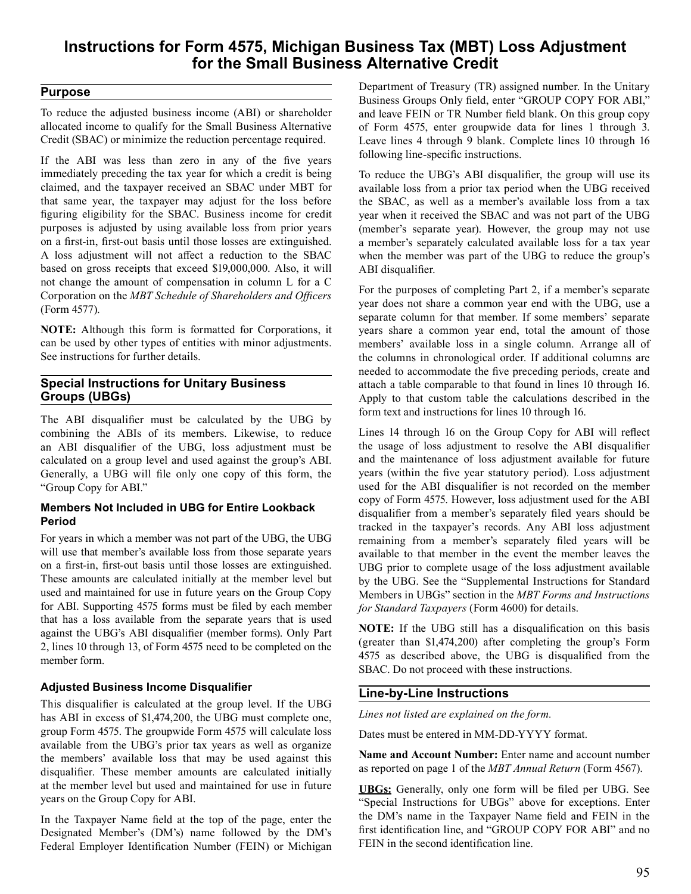## **Instructions for Form 4575, Michigan Business Tax (MBT) Loss Adjustment for the Small Business Alternative Credit**

## **Purpose**

 To reduce the adjusted business income (ABI) or shareholder allocated income to qualify for the Small Business Alternative Credit (SBAC) or minimize the reduction percentage required.

 If the ABI was less than zero in any of the five years immediately preceding the tax year for which a credit is being claimed, and the taxpayer received an SBAC under MBT for that same year, the taxpayer may adjust for the loss before figuring eligibility for the SBAC. Business income for credit purposes is adjusted by using available loss from prior years on a first-in, first-out basis until those losses are extinguished. A loss adjustment will not affect a reduction to the SBAC based on gross receipts that exceed \$19,000,000. Also, it will not change the amount of compensation in column L for a C Corporation on the *MBT Schedule of Shareholders and Officers* (Form 4577).

 **NOTE:** Although this form is formatted for Corporations, it can be used by other types of entities with minor adjustments. See instructions for further details.

### **Special Instructions for Unitary Business Groups (UBGs)**

 The ABI disqualifier must be calculated by the UBG by combining the ABIs of its members. Likewise, to reduce an ABI disqualifier of the UBG, loss adjustment must be calculated on a group level and used against the group's ABI. Generally, a UBG will file only one copy of this form, the "Group Copy for ABI."

#### **Members Not Included in UBG for Entire Lookback Period**

 For years in which a member was not part of the UBG, the UBG will use that member's available loss from those separate years on a first-in, first-out basis until those losses are extinguished. These amounts are calculated initially at the member level but used and maintained for use in future years on the Group Copy for ABI. Supporting 4575 forms must be filed by each member that has a loss available from the separate years that is used against the UBG's ABI disqualifier (member forms). Only Part 2, lines 10 through 13, of Form 4575 need to be completed on the member form.

### **Adjusted Business Income Disqualifier**

 This disqualifier is calculated at the group level. If the UBG has ABI in excess of \$1,474,200, the UBG must complete one, group Form 4575. The groupwide Form 4575 will calculate loss available from the UBG's prior tax years as well as organize the members' available loss that may be used against this disqualifier. These member amounts are calculated initially at the member level but used and maintained for use in future years on the Group Copy for ABI.

 In the Taxpayer Name field at the top of the page, enter the Designated Member's (DM's) name followed by the DM's Federal Employer Identification Number (FEIN) or Michigan  Department of Treasury (TR) assigned number. In the Unitary Business Groups Only field, enter "GROUP COPY FOR ABI," and leave FEIN or TR Number field blank. On this group copy of Form 4575, enter groupwide data for lines 1 through 3. Leave lines 4 through 9 blank. Complete lines 10 through 16 following line-specific instructions.

 To reduce the UBG's ABI disqualifier, the group will use its available loss from a prior tax period when the UBG received the SBAC, as well as a member's available loss from a tax year when it received the SBAC and was not part of the UBG (member's separate year). However, the group may not use a member's separately calculated available loss for a tax year when the member was part of the UBG to reduce the group's ABI disqualifier.

 For the purposes of completing Part 2, if a member's separate year does not share a common year end with the UBG, use a separate column for that member. If some members' separate years share a common year end, total the amount of those members' available loss in a single column. Arrange all of the columns in chronological order. If additional columns are needed to accommodate the five preceding periods, create and attach a table comparable to that found in lines 10 through 16. Apply to that custom table the calculations described in the form text and instructions for lines 10 through 16.

 Lines 14 through 16 on the Group Copy for ABI will reflect the usage of loss adjustment to resolve the ABI disqualifier and the maintenance of loss adjustment available for future years (within the five year statutory period). Loss adjustment used for the ABI disqualifier is not recorded on the member copy of Form 4575. However, loss adjustment used for the ABI disqualifier from a member's separately filed years should be tracked in the taxpayer's records. Any ABI loss adjustment remaining from a member's separately filed years will be available to that member in the event the member leaves the UBG prior to complete usage of the loss adjustment available by the UBG. See the "Supplemental Instructions for Standard Members in UBGs" section in the *MBT Forms and Instructions for Standard Taxpayers* (Form 4600) for details.

 **NOTE:** If the UBG still has a disqualification on this basis (greater than \$1,474,200) after completing the group's Form 4575 as described above, the UBG is disqualified from the SBAC. Do not proceed with these instructions.

## **Line-by-Line Instructions**

*Lines not listed are explained on the form.* 

 Dates must be entered in MM-DD-YYYY format.

 **Name and Account Number:** Enter name and account number as reported on page 1 of the *MBT Annual Return* (Form 4567).

 **UBGs:** Generally, only one form will be filed per UBG. See "Special Instructions for UBGs" above for exceptions. Enter the DM's name in the Taxpayer Name field and FEIN in the first identification line, and "GROUP COPY FOR ABI" and no FEIN in the second identification line.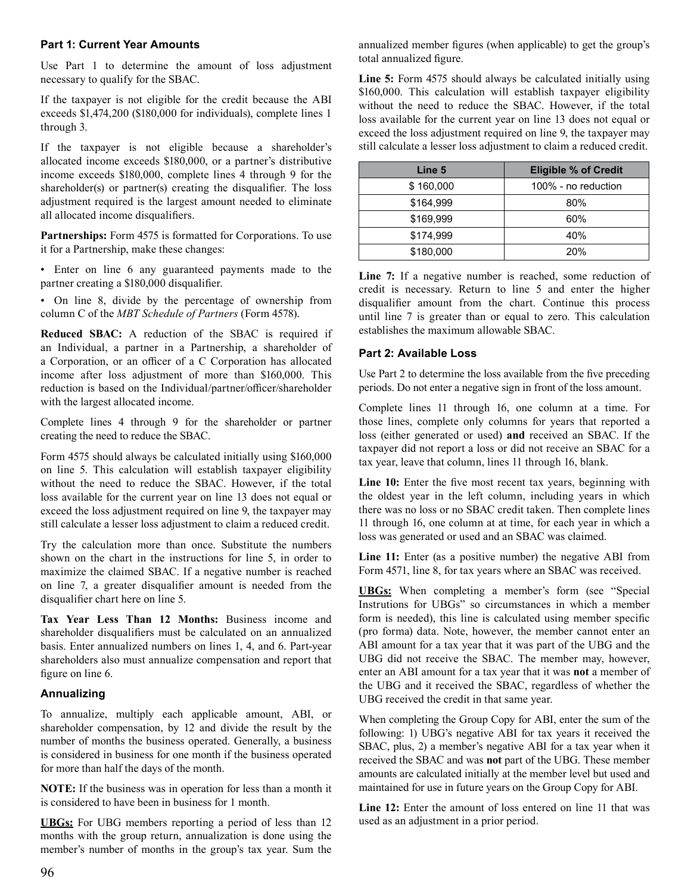#### **Part 1: Current Year Amounts**

 Use Part 1 to determine the amount of loss adjustment necessary to qualify for the SBAC.

 If the taxpayer is not eligible for the credit because the ABI exceeds \$1,474,200 (\$180,000 for individuals), complete lines 1 through 3.

 If the taxpayer is not eligible because a shareholder's allocated income exceeds \$180,000, or a partner's distributive income exceeds \$180,000, complete lines 4 through 9 for the shareholder(s) or partner(s) creating the disqualifier. The loss adjustment required is the largest amount needed to eliminate all allocated income disqualifiers.

Partnerships: Form 4575 is formatted for Corporations. To use it for a Partnership, make these changes:

 • Enter on line 6 any guaranteed payments made to the partner creating a \$180,000 disqualifier.

 • On line 8, divide by the percentage of ownership from column C of the *MBT Schedule of Partners* (Form 4578).

 **Reduced SBAC:** A reduction of the SBAC is required if an Individual, a partner in a Partnership, a shareholder of a Corporation, or an officer of a C Corporation has allocated income after loss adjustment of more than \$160,000. This reduction is based on the Individual/partner/officer/shareholder with the largest allocated income.

 Complete lines 4 through 9 for the shareholder or partner creating the need to reduce the SBAC.

 Form 4575 should always be calculated initially using \$160,000 on line 5. This calculation will establish taxpayer eligibility without the need to reduce the SBAC. However, if the total loss available for the current year on line 13 does not equal or exceed the loss adjustment required on line 9, the taxpayer may still calculate a lesser loss adjustment to claim a reduced credit.

 Try the calculation more than once. Substitute the numbers shown on the chart in the instructions for line 5, in order to maximize the claimed SBAC. If a negative number is reached on line 7, a greater disqualifier amount is needed from the disqualifier chart here on line 5.

 **Tax Year Less Than 12 Months:** Business income and shareholder disqualifiers must be calculated on an annualized basis. Enter annualized numbers on lines 1, 4, and 6. Part-year shareholders also must annualize compensation and report that figure on line 6.

#### **Annualizing**

 To annualize, multiply each applicable amount, ABI, or shareholder compensation, by 12 and divide the result by the number of months the business operated. Generally, a business is considered in business for one month if the business operated for more than half the days of the month.

 **NOTE:** If the business was in operation for less than a month it is considered to have been in business for 1 month.

 **UBGs:** For UBG members reporting a period of less than 12 months with the group return, annualization is done using the member's number of months in the group's tax year. Sum the  annualized member figures (when applicable) to get the group's total annualized figure.

 **Line 5:** Form 4575 should always be calculated initially using \$160,000. This calculation will establish taxpayer eligibility without the need to reduce the SBAC. However, if the total loss available for the current year on line 13 does not equal or exceed the loss adjustment required on line 9, the taxpayer may still calculate a lesser loss adjustment to claim a reduced credit.

| Line 5    | <b>Eligible % of Credit</b> |
|-----------|-----------------------------|
| \$160,000 | 100% - no reduction         |
| \$164,999 | 80%                         |
| \$169,999 | 60%                         |
| \$174,999 | 40%                         |
| \$180,000 | 20%                         |

 **Line 7:** If a negative number is reached, some reduction of credit is necessary. Return to line 5 and enter the higher disqualifier amount from the chart. Continue this process until line 7 is greater than or equal to zero. This calculation establishes the maximum allowable SBAC.

### **Part 2: Available Loss**

 Use Part 2 to determine the loss available from the five preceding periods. Do not enter a negative sign in front of the loss amount.

 Complete lines 11 through 16, one column at a time. For those lines, complete only columns for years that reported a loss (either generated or used) **and** received an SBAC. If the taxpayer did not report a loss or did not receive an SBAC for a tax year, leave that column, lines 11 through 16, blank.

Line 10: Enter the five most recent tax years, beginning with the oldest year in the left column, including years in which there was no loss or no SBAC credit taken. Then complete lines 11 through 16, one column at at time, for each year in which a loss was generated or used and an SBAC was claimed.

 **Line 11:** Enter (as a positive number) the negative ABI from Form 4571, line 8, for tax years where an SBAC was received.

 **UBGs:** When completing a member's form (see "Special Instrutions for UBGs" so circumstances in which a member form is needed), this line is calculated using member specific (pro forma) data. Note, however, the member cannot enter an ABI amount for a tax year that it was part of the UBG and the UBG did not receive the SBAC. The member may, however, enter an ABI amount for a tax year that it was **not** a member of the UBG and it received the SBAC, regardless of whether the UBG received the credit in that same year.

 When completing the Group Copy for ABI, enter the sum of the following: 1) UBG's negative ABI for tax years it received the SBAC, plus, 2) a member's negative ABI for a tax year when it received the SBAC and was **not** part of the UBG. These member amounts are calculated initially at the member level but used and maintained for use in future years on the Group Copy for ABI.

 **Line 12:** Enter the amount of loss entered on line 11 that was used as an adjustment in a prior period.